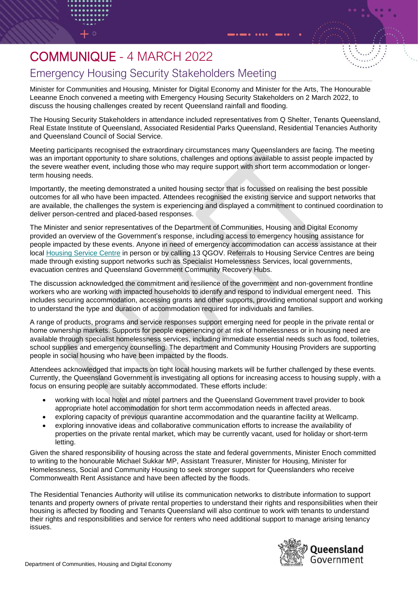## COMMUNIQUE - 4 MARCH 2022

## Emergency Housing Security Stakeholders Meeting

Minister for Communities and Housing, Minister for Digital Economy and Minister for the Arts, The Honourable Leeanne Enoch convened a meeting with Emergency Housing Security Stakeholders on 2 March 2022, to discuss the housing challenges created by recent Queensland rainfall and flooding.

The Housing Security Stakeholders in attendance included representatives from Q Shelter, Tenants Queensland, Real Estate Institute of Queensland, Associated Residential Parks Queensland, Residential Tenancies Authority and Queensland Council of Social Service.

Meeting participants recognised the extraordinary circumstances many Queenslanders are facing. The meeting was an important opportunity to share solutions, challenges and options available to assist people impacted by the severe weather event, including those who may require support with short term accommodation or longerterm housing needs.

Importantly, the meeting demonstrated a united housing sector that is focussed on realising the best possible outcomes for all who have been impacted. Attendees recognised the existing service and support networks that are available, the challenges the system is experiencing and displayed a commitment to continued coordination to deliver person-centred and placed-based responses.

The Minister and senior representatives of the Department of Communities, Housing and Digital Economy provided an overview of the Government's response, including access to emergency housing assistance for people impacted by these events. Anyone in need of emergency accommodation can access assistance at their local [Housing Service Centre](https://www.qld.gov.au/housing/public-community-housing/housing-service-centre) in person or by calling 13 QGOV. Referrals to Housing Service Centres are being made through existing support networks such as Specialist Homelessness Services, local governments, evacuation centres and Queensland Government Community Recovery Hubs.

The discussion acknowledged the commitment and resilience of the government and non-government frontline workers who are working with impacted households to identify and respond to individual emergent need. This includes securing accommodation, accessing grants and other supports, providing emotional support and working to understand the type and duration of accommodation required for individuals and families.

A range of products, programs and service responses support emerging need for people in the private rental or home ownership markets. Supports for people experiencing or at risk of homelessness or in housing need are available through specialist homelessness services, including immediate essential needs such as food, toiletries, school supplies and emergency counselling. The department and Community Housing Providers are supporting people in social housing who have been impacted by the floods.

Attendees acknowledged that impacts on tight local housing markets will be further challenged by these events. Currently, the Queensland Government is investigating all options for increasing access to housing supply, with a focus on ensuring people are suitably accommodated. These efforts include:

- working with local hotel and motel partners and the Queensland Government travel provider to book appropriate hotel accommodation for short term accommodation needs in affected areas.
- exploring capacity of previous quarantine accommodation and the quarantine facility at Wellcamp.
- exploring innovative ideas and collaborative communication efforts to increase the availability of properties on the private rental market, which may be currently vacant, used for holiday or short-term letting.

Given the shared responsibility of housing across the state and federal governments, Minister Enoch committed to writing to the honourable Michael Sukkar MP, Assistant Treasurer, Minister for Housing, Minister for Homelessness, Social and Community Housing to seek stronger support for Queenslanders who receive Commonwealth Rent Assistance and have been affected by the floods.

The Residential Tenancies Authority will utilise its communication networks to distribute information to support tenants and property owners of private rental properties to understand their rights and responsibilities when their housing is affected by flooding and Tenants Queensland will also continue to work with tenants to understand their rights and responsibilities and service for renters who need additional support to manage arising tenancy issues.